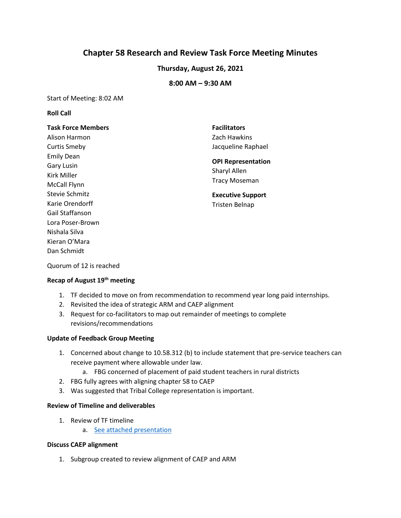# **Chapter 58 Research and Review Task Force Meeting Minutes**

# **Thursday, August 26, 2021**

### **8:00 AM – 9:30 AM**

Start of Meeting: 8:02 AM

### **Roll Call**

### **Task Force Members**

Alison Harmon Curtis Smeby Emily Dean Gary Lusin Kirk Miller McCall Flynn Stevie Schmitz Karie Orendorff Gail Staffanson Lora Poser-Brown Nishala Silva Kieran O'Mara Dan Schmidt

**Facilitators** Zach Hawkins Jacqueline Raphael

# **OPI Representation**  Sharyl Allen Tracy Moseman

**Executive Support** Tristen Belnap

Quorum of 12 is reached

# **Recap of August 19th meeting**

- 1. TF decided to move on from recommendation to recommend year long paid internships.
- 2. Revisited the idea of strategic ARM and CAEP alignment
- 3. Request for co-facilitators to map out remainder of meetings to complete revisions/recommendations

### **Update of Feedback Group Meeting**

- 1. Concerned about change to 10.58.312 (b) to include statement that pre-service teachers can receive payment where allowable under law.
	- a. FBG concerned of placement of paid student teachers in rural districts
- 2. FBG fully agrees with aligning chapter 58 to CAEP
- 3. Was suggested that Tribal College representation is important.

#### **Review of Timeline and deliverables**

- 1. Review of TF timeline
	- a. [See attached](https://docs.google.com/presentation/d/1J0_JpiCa1IwLama5U5Hz3e3Wrzs8jISe/edit?usp=sharing&ouid=103980653118195900680&rtpof=true&sd=true) presentation

#### **Discuss CAEP alignment**

1. Subgroup created to review alignment of CAEP and ARM